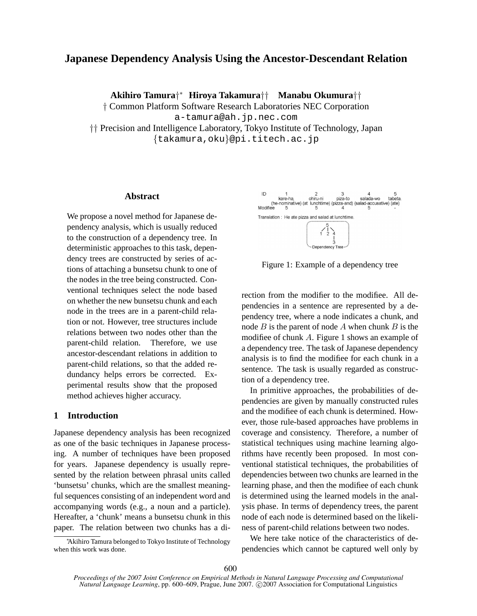# **Japanese Dependency Analysis Using the Ancestor-Descendant Relation**

**Akihiro Tamura***† <sup>∗</sup>* **Hiroya Takamura***††* **Manabu Okumura***††*

*†* Common Platform Software Research Laboratories NEC Corporation

a-tamura@ah.jp.nec.com

*††* Precision and Intelligence Laboratory, Tokyo Institute of Technology, Japan *{*takamura,oku*}*@pi.titech.ac.jp

## **Abstract**

We propose a novel method for Japanese dependency analysis, which is usually reduced to the construction of a dependency tree. In deterministic approaches to this task, dependency trees are constructed by series of actions of attaching a bunsetsu chunk to one of the nodes in the tree being constructed. Conventional techniques select the node based on whether the new bunsetsu chunk and each node in the trees are in a parent-child relation or not. However, tree structures include relations between two nodes other than the parent-child relation. Therefore, we use ancestor-descendant relations in addition to parent-child relations, so that the added redundancy helps errors be corrected. Experimental results show that the proposed method achieves higher accuracy.

# **1 Introduction**

Japanese dependency analysis has been recognized as one of the basic techniques in Japanese processing. A number of techniques have been proposed for years. Japanese dependency is usually represented by the relation between phrasal units called 'bunsetsu' chunks, which are the smallest meaningful sequences consisting of an independent word and accompanying words (e.g., a noun and a particle). Hereafter, a 'chunk' means a bunsetsu chunk in this paper. The relation between two chunks has a di-

*<sup>∗</sup>*Akihiro Tamura belonged to Tokyo Institute of Technology when this work was done.



Figure 1: Example of a dependency tree

rection from the modifier to the modifiee. All dependencies in a sentence are represented by a dependency tree, where a node indicates a chunk, and node *B* is the parent of node *A* when chunk *B* is the modifiee of chunk *A*. Figure 1 shows an example of a dependency tree. The task of Japanese dependency analysis is to find the modifiee for each chunk in a sentence. The task is usually regarded as construction of a dependency tree.

In primitive approaches, the probabilities of dependencies are given by manually constructed rules and the modifiee of each chunk is determined. However, those rule-based approaches have problems in coverage and consistency. Therefore, a number of statistical techniques using machine learning algorithms have recently been proposed. In most conventional statistical techniques, the probabilities of dependencies between two chunks are learned in the learning phase, and then the modifiee of each chunk is determined using the learned models in the analysis phase. In terms of dependency trees, the parent node of each node is determined based on the likeliness of parent-child relations between two nodes.

We here take notice of the characteristics of dependencies which cannot be captured well only by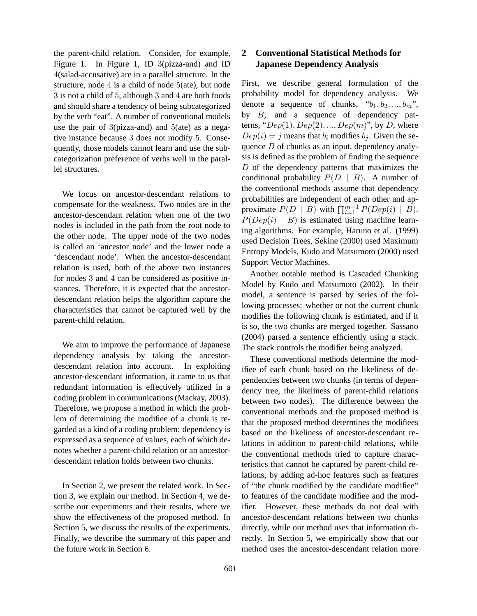the parent-child relation. Consider, for example, Figure 1. In Figure 1, ID 3(pizza-and) and ID 4(salad-accusative) are in a parallel structure. In the structure, node  $4$  is a child of node  $5$ (ate), but node 3 is not a child of 5, although 3 and 4 are both foods and should share a tendency of being subcategorized by the verb "eat". A number of conventional models use the pair of 3(pizza-and) and 5(ate) as a negative instance because 3 does not modify 5. Consequently, those models cannot learn and use the subcategorization preference of verbs well in the parallel structures.

We focus on ancestor-descendant relations to compensate for the weakness. Two nodes are in the ancestor-descendant relation when one of the two nodes is included in the path from the root node to the other node. The upper node of the two nodes is called an 'ancestor node' and the lower node a 'descendant node'. When the ancestor-descendant relation is used, both of the above two instances for nodes 3 and 4 can be considered as positive instances. Therefore, it is expected that the ancestordescendant relation helps the algorithm capture the characteristics that cannot be captured well by the parent-child relation.

We aim to improve the performance of Japanese dependency analysis by taking the ancestordescendant relation into account. In exploiting ancestor-descendant information, it came to us that redundant information is effectively utilized in a coding problem in communications (Mackay, 2003). Therefore, we propose a method in which the problem of determining the modifiee of a chunk is regarded as a kind of a coding problem: dependency is expressed as a sequence of values, each of which denotes whether a parent-child relation or an ancestordescendant relation holds between two chunks.

In Section 2, we present the related work. In Section 3, we explain our method. In Section 4, we describe our experiments and their results, where we show the effectiveness of the proposed method. In Section 5, we discuss the results of the experiments. Finally, we describe the summary of this paper and the future work in Section 6.

# **2 Conventional Statistical Methods for Japanese Dependency Analysis**

First, we describe general formulation of the probability model for dependency analysis. We denote a sequence of chunks, " $b_1, b_2, ..., b_m$ ", by *B*, and a sequence of dependency patterns, " $Dep(1), Dep(2), ..., Dep(m)$ ", by *D*, where  $Dep(i) = j$  means that  $b_i$  modifies  $b_j$ . Given the sequence *B* of chunks as an input, dependency analysis is defined as the problem of finding the sequence *D* of the dependency patterns that maximizes the conditional probability  $P(D | B)$ . A number of the conventional methods assume that dependency probabilities are independent of each other and approximate  $P(D \mid B)$  with  $\prod_{i=1}^{m-1} P(Dep(i) \mid B)$ .  $P(Dep(i) | B)$  is estimated using machine learning algorithms. For example, Haruno et al. (1999) used Decision Trees, Sekine (2000) used Maximum Entropy Models, Kudo and Matsumoto (2000) used Support Vector Machines.

Another notable method is Cascaded Chunking Model by Kudo and Matsumoto (2002). In their model, a sentence is parsed by series of the following processes: whether or not the current chunk modifies the following chunk is estimated, and if it is so, the two chunks are merged together. Sassano (2004) parsed a sentence efficiently using a stack. The stack controls the modifier being analyzed.

These conventional methods determine the modifiee of each chunk based on the likeliness of dependencies between two chunks (in terms of dependency tree, the likeliness of parent-child relations between two nodes). The difference between the conventional methods and the proposed method is that the proposed method determines the modifiees based on the likeliness of ancestor-descendant relations in addition to parent-child relations, while the conventional methods tried to capture characteristics that cannot be captured by parent-child relations, by adding ad-hoc features such as features of "the chunk modified by the candidate modifiee" to features of the candidate modifiee and the modifier. However, these methods do not deal with ancestor-descendant relations between two chunks directly, while our method uses that information directly. In Section 5, we empirically show that our method uses the ancestor-descendant relation more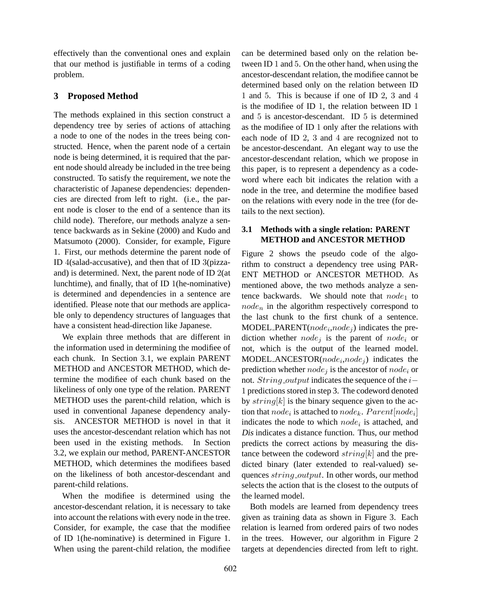effectively than the conventional ones and explain that our method is justifiable in terms of a coding problem.

### **3 Proposed Method**

The methods explained in this section construct a dependency tree by series of actions of attaching a node to one of the nodes in the trees being constructed. Hence, when the parent node of a certain node is being determined, it is required that the parent node should already be included in the tree being constructed. To satisfy the requirement, we note the characteristic of Japanese dependencies: dependencies are directed from left to right. (i.e., the parent node is closer to the end of a sentence than its child node). Therefore, our methods analyze a sentence backwards as in Sekine (2000) and Kudo and Matsumoto (2000). Consider, for example, Figure 1. First, our methods determine the parent node of ID 4(salad-accusative), and then that of ID 3(pizzaand) is determined. Next, the parent node of ID 2(at lunchtime), and finally, that of ID 1(he-nominative) is determined and dependencies in a sentence are identified. Please note that our methods are applicable only to dependency structures of languages that have a consistent head-direction like Japanese.

We explain three methods that are different in the information used in determining the modifiee of each chunk. In Section 3.1, we explain PARENT METHOD and ANCESTOR METHOD, which determine the modifiee of each chunk based on the likeliness of only one type of the relation. PARENT METHOD uses the parent-child relation, which is used in conventional Japanese dependency analysis. ANCESTOR METHOD is novel in that it uses the ancestor-descendant relation which has not been used in the existing methods. In Section 3.2, we explain our method, PARENT-ANCESTOR METHOD, which determines the modifiees based on the likeliness of both ancestor-descendant and parent-child relations.

When the modifiee is determined using the ancestor-descendant relation, it is necessary to take into account the relations with every node in the tree. Consider, for example, the case that the modifiee of ID 1(he-nominative) is determined in Figure 1. When using the parent-child relation, the modifiee can be determined based only on the relation between ID 1 and 5. On the other hand, when using the ancestor-descendant relation, the modifiee cannot be determined based only on the relation between ID 1 and 5. This is because if one of ID 2, 3 and 4 is the modifiee of ID 1, the relation between ID 1 and 5 is ancestor-descendant. ID 5 is determined as the modifiee of ID 1 only after the relations with each node of ID 2, 3 and 4 are recognized not to be ancestor-descendant. An elegant way to use the ancestor-descendant relation, which we propose in this paper, is to represent a dependency as a codeword where each bit indicates the relation with a node in the tree, and determine the modifiee based on the relations with every node in the tree (for details to the next section).

### **3.1 Methods with a single relation: PARENT METHOD and ANCESTOR METHOD**

Figure 2 shows the pseudo code of the algorithm to construct a dependency tree using PAR-ENT METHOD or ANCESTOR METHOD. As mentioned above, the two methods analyze a sentence backwards. We should note that  $node_1$  to *node<sup>n</sup>* in the algorithm respectively correspond to the last chunk to the first chunk of a sentence. MODEL PARENT(*node<sup>i</sup>* ,*node<sup>j</sup>* ) indicates the prediction whether  $node_i$  is the parent of  $node_i$  or not, which is the output of the learned model.  $MODEL$   $ANCESTOR(node_i, node_j)$  indicates the prediction whether *node<sup>j</sup>* is the ancestor of *node<sup>i</sup>* or not. *String output* indicates the sequence of the *i−* 1 predictions stored in step 3. The codeword denoted by *string*[*k*] is the binary sequence given to the action that  $node_i$  is attached to  $node_k$ .  $Parent[node_i]$ indicates the node to which *node<sup>i</sup>* is attached, and Dis indicates a distance function. Thus, our method predicts the correct actions by measuring the distance between the codeword *string*[*k*] and the predicted binary (later extended to real-valued) sequences *string output*. In other words, our method selects the action that is the closest to the outputs of the learned model.

Both models are learned from dependency trees given as training data as shown in Figure 3. Each relation is learned from ordered pairs of two nodes in the trees. However, our algorithm in Figure 2 targets at dependencies directed from left to right.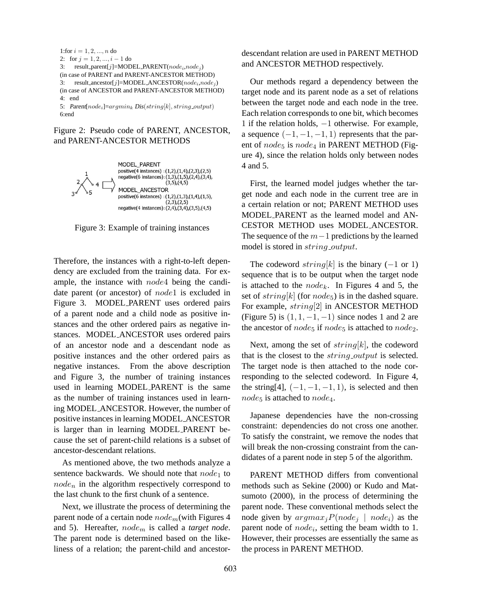

6:end

Figure 2: Pseudo code of PARENT, ANCESTOR, and PARENT-ANCESTOR METHODS



Figure 3: Example of training instances

Therefore, the instances with a right-to-left dependency are excluded from the training data. For example, the instance with *node*4 being the candidate parent (or ancestor) of *node*1 is excluded in Figure 3. MODEL PARENT uses ordered pairs of a parent node and a child node as positive instances and the other ordered pairs as negative instances. MODEL ANCESTOR uses ordered pairs of an ancestor node and a descendant node as positive instances and the other ordered pairs as negative instances. From the above description and Figure 3, the number of training instances used in learning MODEL PARENT is the same as the number of training instances used in learning MODEL ANCESTOR. However, the number of positive instances in learning MODEL ANCESTOR is larger than in learning MODEL PARENT because the set of parent-child relations is a subset of ancestor-descendant relations.

As mentioned above, the two methods analyze a sentence backwards. We should note that *node*<sup>1</sup> to *node<sup>n</sup>* in the algorithm respectively correspond to the last chunk to the first chunk of a sentence.

Next, we illustrate the process of determining the parent node of a certain node *nodem*(with Figures 4 and 5). Hereafter, *node<sup>m</sup>* is called a *target node*. The parent node is determined based on the likeliness of a relation; the parent-child and ancestordescendant relation are used in PARENT METHOD and ANCESTOR METHOD respectively.

Our methods regard a dependency between the target node and its parent node as a set of relations between the target node and each node in the tree. Each relation corresponds to one bit, which becomes 1 if the relation holds, *−*1 otherwise. For example, a sequence  $(-1, -1, -1, 1)$  represents that the parent of *node*<sub>5</sub> is *node*<sub>4</sub> in PARENT METHOD (Figure 4), since the relation holds only between nodes 4 and 5.

First, the learned model judges whether the target node and each node in the current tree are in a certain relation or not; PARENT METHOD uses MODEL PARENT as the learned model and AN-CESTOR METHOD uses MODEL ANCESTOR. The sequence of the *m−*1 predictions by the learned model is stored in *string output*.

The codeword *string*[*k*] is the binary (*−*1 or 1) sequence that is to be output when the target node is attached to the *nodek*. In Figures 4 and 5, the set of *string*[*k*] (for *node*5) is in the dashed square. For example, *string*[2] in ANCESTOR METHOD (Figure 5) is (1*,* 1*, −*1*, −*1) since nodes 1 and 2 are the ancestor of *node*<sub>5</sub> if *node*<sub>5</sub> is attached to *node*<sub>2</sub>.

Next, among the set of *string*[*k*], the codeword that is the closest to the *string output* is selected. The target node is then attached to the node corresponding to the selected codeword. In Figure 4, the string[4],  $(-1, -1, -1, 1)$ , is selected and then *node*<sup>5</sup> is attached to *node*4.

Japanese dependencies have the non-crossing constraint: dependencies do not cross one another. To satisfy the constraint, we remove the nodes that will break the non-crossing constraint from the candidates of a parent node in step 5 of the algorithm.

PARENT METHOD differs from conventional methods such as Sekine (2000) or Kudo and Matsumoto (2000), in the process of determining the parent node. These conventional methods select the node given by  $argmax_j P(node_j | node_i)$  as the parent node of *node<sub>i</sub>*, setting the beam width to 1. However, their processes are essentially the same as the process in PARENT METHOD.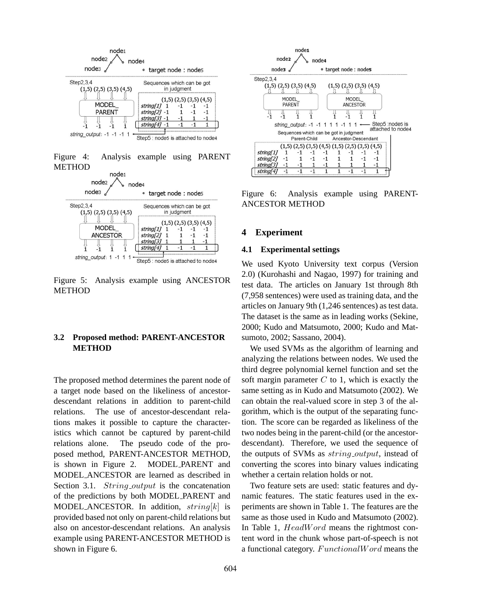

Figure 4: Analysis example using PARENT **METHOD** 



Figure 5: Analysis example using ANCESTOR **METHOD** 

## **3.2 Proposed method: PARENT-ANCESTOR METHOD**

The proposed method determines the parent node of a target node based on the likeliness of ancestordescendant relations in addition to parent-child relations. The use of ancestor-descendant relations makes it possible to capture the characteristics which cannot be captured by parent-child relations alone. The pseudo code of the proposed method, PARENT-ANCESTOR METHOD, is shown in Figure 2. MODEL PARENT and MODEL ANCESTOR are learned as described in Section 3.1. *String\_output* is the concatenation of the predictions by both MODEL PARENT and MODEL ANCESTOR. In addition, *string*[*k*] is provided based not only on parent-child relations but also on ancestor-descendant relations. An analysis example using PARENT-ANCESTOR METHOD is shown in Figure 6.



Figure 6: Analysis example using PARENT-ANCESTOR METHOD

#### **4 Experiment**

#### **4.1 Experimental settings**

We used Kyoto University text corpus (Version 2.0) (Kurohashi and Nagao, 1997) for training and test data. The articles on January 1st through 8th (7,958 sentences) were used as training data, and the articles on January 9th (1,246 sentences) as test data. The dataset is the same as in leading works (Sekine, 2000; Kudo and Matsumoto, 2000; Kudo and Matsumoto, 2002; Sassano, 2004).

We used SVMs as the algorithm of learning and analyzing the relations between nodes. We used the third degree polynomial kernel function and set the soft margin parameter *C* to 1, which is exactly the same setting as in Kudo and Matsumoto (2002). We can obtain the real-valued score in step 3 of the algorithm, which is the output of the separating function. The score can be regarded as likeliness of the two nodes being in the parent-child (or the ancestordescendant). Therefore, we used the sequence of the outputs of SVMs as *string output*, instead of converting the scores into binary values indicating whether a certain relation holds or not.

Two feature sets are used: static features and dynamic features. The static features used in the experiments are shown in Table 1. The features are the same as those used in Kudo and Matsumoto (2002). In Table 1, *HeadW ord* means the rightmost content word in the chunk whose part-of-speech is not a functional category. *F unctionalW ord* means the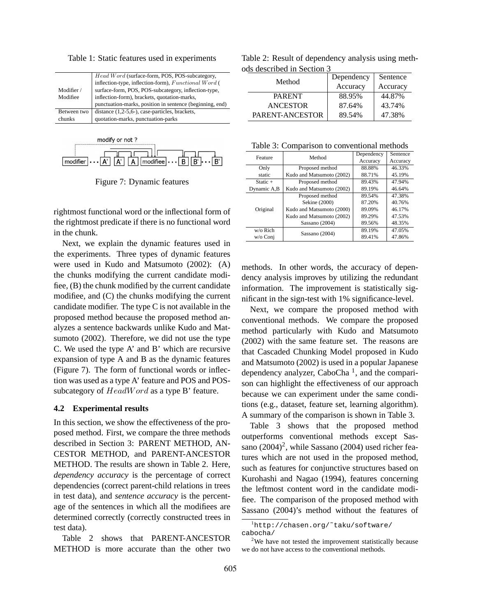|             | <i>Head Word</i> (surface-form, POS, POS-subcategory,    |
|-------------|----------------------------------------------------------|
|             | inflection-type, inflection-form), Functional Word (     |
| Modifier /  | surface-form, POS, POS-subcategory, inflection-type,     |
| Modifiee    | inflection-form), brackets, quotation-marks,             |
|             | punctuation-marks, position in sentence (beginning, end) |
| Between two | distance (1,2-5,6-), case-particles, brackets,           |
| chunks      | quotation-marks, punctuation-parks                       |

Table 1: Static features used in experiments



Figure 7: Dynamic features

rightmost functional word or the inflectional form of the rightmost predicate if there is no functional word in the chunk.

Next, we explain the dynamic features used in the experiments. Three types of dynamic features were used in Kudo and Matsumoto (2002): (A) the chunks modifying the current candidate modifiee, (B) the chunk modified by the current candidate modifiee, and (C) the chunks modifying the current candidate modifier. The type C is not available in the proposed method because the proposed method analyzes a sentence backwards unlike Kudo and Matsumoto (2002). Therefore, we did not use the type C. We used the type A' and B' which are recursive expansion of type A and B as the dynamic features (Figure 7). The form of functional words or inflection was used as a type A' feature and POS and POSsubcategory of *HeadW ord* as a type B' feature.

### **4.2 Experimental results**

In this section, we show the effectiveness of the proposed method. First, we compare the three methods described in Section 3: PARENT METHOD, AN-CESTOR METHOD, and PARENT-ANCESTOR METHOD. The results are shown in Table 2. Here, *dependency accuracy* is the percentage of correct dependencies (correct parent-child relations in trees in test data), and *sentence accuracy* is the percentage of the sentences in which all the modifiees are determined correctly (correctly constructed trees in test data).

Table 2 shows that PARENT-ANCESTOR METHOD is more accurate than the other two

Table 2: Result of dependency analysis using methods described in Section 3

| Method          | Dependency | Sentence |
|-----------------|------------|----------|
|                 | Accuracy   | Accuracy |
| <b>PARENT</b>   | 88.95%     | 44.87%   |
| <b>ANCESTOR</b> | 87.64%     | 43.74%   |
| PARENT-ANCESTOR | 89.54%     | 47.38%   |

Table 3: Comparison to conventional methods

| Feature     | Method                    | Dependency | Sentence |
|-------------|---------------------------|------------|----------|
|             |                           | Accuracy   | Accuracy |
| Only        | Proposed method           | 88.88%     | 46.33%   |
| static      | Kudo and Matsumoto (2002) | 88.71%     | 45.19%   |
| $Static +$  | Proposed method           | 89.43%     | 47.94%   |
| Dynamic A,B | Kudo and Matsumoto (2002) | 89.19%     | 46.64%   |
| Original    | Proposed method           | 89.54%     | 47.38%   |
|             | Sekine (2000)             | 87.20%     | 40.76%   |
|             | Kudo and Matsumoto (2000) | 89.09%     | 46.17%   |
|             | Kudo and Matsumoto (2002) | 89.29%     | 47.53%   |
|             | Sassano (2004)            | 89.56%     | 48.35%   |
| w/o Rich    | Sassano (2004)            | 89.19%     | 47.05%   |
| w/o Conj    |                           | 89.41%     | 47.86%   |

methods. In other words, the accuracy of dependency analysis improves by utilizing the redundant information. The improvement is statistically significant in the sign-test with 1% significance-level.

Next, we compare the proposed method with conventional methods. We compare the proposed method particularly with Kudo and Matsumoto (2002) with the same feature set. The reasons are that Cascaded Chunking Model proposed in Kudo and Matsumoto (2002) is used in a popular Japanese dependency analyzer, CaboCha<sup>1</sup>, and the comparison can highlight the effectiveness of our approach because we can experiment under the same conditions (e.g., dataset, feature set, learning algorithm). A summary of the comparison is shown in Table 3.

Table 3 shows that the proposed method outperforms conventional methods except Sassano  $(2004)^2$ , while Sassano  $(2004)$  used richer features which are not used in the proposed method, such as features for conjunctive structures based on Kurohashi and Nagao (1994), features concerning the leftmost content word in the candidate modifiee. The comparison of the proposed method with Sassano (2004)'s method without the features of

<sup>1</sup>http://chasen.org/˜taku/software/ cabocha/

 $2$ We have not tested the improvement statistically because we do not have access to the conventional methods.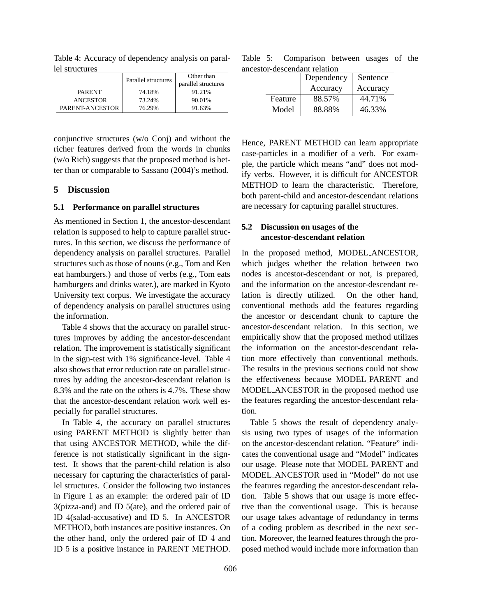|                 | Parallel structures | Other than<br>parallel structures |  |
|-----------------|---------------------|-----------------------------------|--|
| <b>PARENT</b>   | 74.18%              | 91.21%                            |  |
| <b>ANCESTOR</b> | 73.24%              | 90.01%                            |  |
| PARENT-ANCESTOR | 76.29%              | 91.63%                            |  |

Table 4: Accuracy of dependency analysis on parallel structures

conjunctive structures (w/o Conj) and without the richer features derived from the words in chunks (w/o Rich) suggests that the proposed method is better than or comparable to Sassano (2004)'s method.

## **5 Discussion**

### **5.1 Performance on parallel structures**

As mentioned in Section 1, the ancestor-descendant relation is supposed to help to capture parallel structures. In this section, we discuss the performance of dependency analysis on parallel structures. Parallel structures such as those of nouns (e.g., Tom and Ken eat hamburgers.) and those of verbs (e.g., Tom eats hamburgers and drinks water.), are marked in Kyoto University text corpus. We investigate the accuracy of dependency analysis on parallel structures using the information.

Table 4 shows that the accuracy on parallel structures improves by adding the ancestor-descendant relation. The improvement is statistically significant in the sign-test with 1% significance-level. Table 4 also shows that error reduction rate on parallel structures by adding the ancestor-descendant relation is 8.3% and the rate on the others is 4.7%. These show that the ancestor-descendant relation work well especially for parallel structures.

In Table 4, the accuracy on parallel structures using PARENT METHOD is slightly better than that using ANCESTOR METHOD, while the difference is not statistically significant in the signtest. It shows that the parent-child relation is also necessary for capturing the characteristics of parallel structures. Consider the following two instances in Figure 1 as an example: the ordered pair of ID 3(pizza-and) and ID 5(ate), and the ordered pair of ID 4(salad-accusative) and ID 5. In ANCESTOR METHOD, both instances are positive instances. On the other hand, only the ordered pair of ID 4 and ID 5 is a positive instance in PARENT METHOD.

Table 5: Comparison between usages of the ancestor-descendant relation

|  |         | Dependency | Sentence |
|--|---------|------------|----------|
|  |         | Accuracy   | Accuracy |
|  | Feature | 88.57%     | 44.71%   |
|  | Model   | 88.88%     | 46.33%   |

Hence, PARENT METHOD can learn appropriate case-particles in a modifier of a verb. For example, the particle which means "and" does not modify verbs. However, it is difficult for ANCESTOR METHOD to learn the characteristic. Therefore, both parent-child and ancestor-descendant relations are necessary for capturing parallel structures.

# **5.2 Discussion on usages of the ancestor-descendant relation**

In the proposed method, MODEL ANCESTOR, which judges whether the relation between two nodes is ancestor-descendant or not, is prepared, and the information on the ancestor-descendant relation is directly utilized. On the other hand, conventional methods add the features regarding the ancestor or descendant chunk to capture the ancestor-descendant relation. In this section, we empirically show that the proposed method utilizes the information on the ancestor-descendant relation more effectively than conventional methods. The results in the previous sections could not show the effectiveness because MODEL PARENT and MODEL ANCESTOR in the proposed method use the features regarding the ancestor-descendant relation.

Table 5 shows the result of dependency analysis using two types of usages of the information on the ancestor-descendant relation. "Feature" indicates the conventional usage and "Model" indicates our usage. Please note that MODEL PARENT and MODEL ANCESTOR used in "Model" do not use the features regarding the ancestor-descendant relation. Table 5 shows that our usage is more effective than the conventional usage. This is because our usage takes advantage of redundancy in terms of a coding problem as described in the next section. Moreover, the learned features through the proposed method would include more information than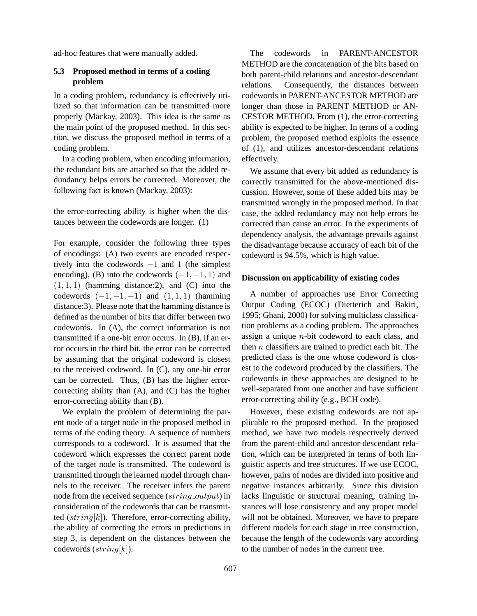ad-hoc features that were manually added.

## **5.3 Proposed method in terms of a coding problem**

In a coding problem, redundancy is effectively utilized so that information can be transmitted more properly (Mackay, 2003). This idea is the same as the main point of the proposed method. In this section, we discuss the proposed method in terms of a coding problem.

In a coding problem, when encoding information, the redundant bits are attached so that the added redundancy helps errors be corrected. Moreover, the following fact is known (Mackay, 2003):

the error-correcting ability is higher when the distances between the codewords are longer. (1)

For example, consider the following three types of encodings: (A) two events are encoded respectively into the codewords *−*1 and 1 (the simplest encoding), (B) into the codewords  $(-1, -1, 1)$  and  $(1, 1, 1)$  (hamming distance: 2), and  $(C)$  into the codewords  $(-1, -1, -1)$  and  $(1, 1, 1)$  (hamming distance:3). Please note that the hamming distance is defined as the number of bits that differ between two codewords. In (A), the correct information is not transmitted if a one-bit error occurs. In (B), if an error occurs in the third bit, the error can be corrected by assuming that the original codeword is closest to the received codeword. In (C), any one-bit error can be corrected. Thus, (B) has the higher errorcorrecting ability than (A), and (C) has the higher error-correcting ability than (B).

We explain the problem of determining the parent node of a target node in the proposed method in terms of the coding theory. A sequence of numbers corresponds to a codeword. It is assumed that the codeword which expresses the correct parent node of the target node is transmitted. The codeword is transmitted through the learned model through channels to the receiver. The receiver infers the parent node from the received sequence (*string output*) in consideration of the codewords that can be transmitted (*string*[*k*]). Therefore, error-correcting ability, the ability of correcting the errors in predictions in step 3, is dependent on the distances between the codewords (*string*[*k*]).

The codewords in PARENT-ANCESTOR METHOD are the concatenation of the bits based on both parent-child relations and ancestor-descendant relations. Consequently, the distances between codewords in PARENT-ANCESTOR METHOD are longer than those in PARENT METHOD or AN-CESTOR METHOD. From (1), the error-correcting ability is expected to be higher. In terms of a coding problem, the proposed method exploits the essence of (1), and utilizes ancestor-descendant relations effectively.

We assume that every bit added as redundancy is correctly transmitted for the above-mentioned discussion. However, some of these added bits may be transmitted wrongly in the proposed method. In that case, the added redundancy may not help errors be corrected than cause an error. In the experiments of dependency analysis, the advantage prevails against the disadvantage because accuracy of each bit of the codeword is 94.5%, which is high value.

# **Discussion on applicability of existing codes**

A number of approaches use Error Correcting Output Coding (ECOC) (Dietterich and Bakiri, 1995; Ghani, 2000) for solving multiclass classification problems as a coding problem. The approaches assign a unique *n*-bit codeword to each class, and then *n* classifiers are trained to predict each bit. The predicted class is the one whose codeword is closest to the codeword produced by the classifiers. The codewords in these approaches are designed to be well-separated from one another and have sufficient error-correcting ability (e.g., BCH code).

However, these existing codewords are not applicable to the proposed method. In the proposed method, we have two models respectively derived from the parent-child and ancestor-descendant relation, which can be interpreted in terms of both linguistic aspects and tree structures. If we use ECOC, however, pairs of nodes are divided into positive and negative instances arbitrarily. Since this division lacks linguistic or structural meaning, training instances will lose consistency and any proper model will not be obtained. Moreover, we have to prepare different models for each stage in tree construction, because the length of the codewords vary according to the number of nodes in the current tree.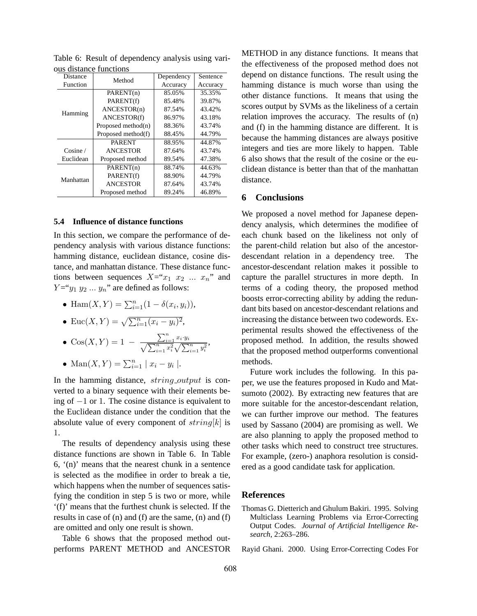| bus distance functions |                       |            |          |
|------------------------|-----------------------|------------|----------|
| Distance               | Method                | Dependency | Sentence |
| Function               |                       | Accuracy   | Accuracy |
|                        | PARENT(n)             | 85.05%     | 35.35%   |
| Hamming                | PARENT(f)             | 85.48%     | 39.87%   |
|                        | ANCESTOR(n)           | 87.54%     | 43.42%   |
|                        | ANCESTOR(f)           | 86.97%     | 43.18%   |
|                        | Proposed method $(n)$ | 88.36%     | 43.74%   |
|                        | Proposed method(f)    | 88.45%     | 44.79%   |
|                        | <b>PARENT</b>         | 88.95%     | 44.87%   |
| Cosine /               | <b>ANCESTOR</b>       | 87.64%     | 43.74%   |
| Euclidean              | Proposed method       | 89.54%     | 47.38%   |
| Manhattan              | PARENT(n)             | 88.74%     | 44.63%   |
|                        | PARENT(f)             | 88.90%     | 44.79%   |
|                        | <b>ANCESTOR</b>       | 87.64%     | 43.74%   |
|                        | Proposed method       | 89.24%     | 46.89%   |

Table 6: Result of dependency analysis using various distance functions

#### **5.4 Influence of distance functions**

In this section, we compare the performance of dependency analysis with various distance functions: hamming distance, euclidean distance, cosine distance, and manhattan distance. These distance functions between sequences  $X = x_1 x_2 \dots x_n$  and  $Y = y_1 y_2 \dots y_n$ " are defined as follows:

• Ham $(X, Y) = \sum_{i=1}^{n} (1 - \delta(x_i, y_i)),$ 

• 
$$
\operatorname{Euc}(X,Y) = \sqrt{\sum_{i=1}^n (x_i - y_i)^2},
$$

• 
$$
\cos(X, Y) = 1 - \frac{\sum_{i=1}^{n} x_i \cdot y_i}{\sqrt{\sum_{i=1}^{n} x_i^2} \sqrt{\sum_{i=1}^{n} y_i^2}}
$$

• 
$$
\operatorname{Man}(X, Y) = \sum_{i=1}^{n} |x_i - y_i|.
$$

In the hamming distance, *string output* is converted to a binary sequence with their elements being of *−*1 or 1. The cosine distance is equivalent to the Euclidean distance under the condition that the absolute value of every component of *string*[*k*] is 1.

The results of dependency analysis using these distance functions are shown in Table 6. In Table 6, '(n)' means that the nearest chunk in a sentence is selected as the modifiee in order to break a tie, which happens when the number of sequences satisfying the condition in step 5 is two or more, while '(f)' means that the furthest chunk is selected. If the results in case of (n) and (f) are the same, (n) and (f) are omitted and only one result is shown.

Table 6 shows that the proposed method outperforms PARENT METHOD and ANCESTOR METHOD in any distance functions. It means that the effectiveness of the proposed method does not depend on distance functions. The result using the hamming distance is much worse than using the other distance functions. It means that using the scores output by SVMs as the likeliness of a certain relation improves the accuracy. The results of (n) and (f) in the hamming distance are different. It is because the hamming distances are always positive integers and ties are more likely to happen. Table 6 also shows that the result of the cosine or the euclidean distance is better than that of the manhattan distance.

## **6 Conclusions**

We proposed a novel method for Japanese dependency analysis, which determines the modifiee of each chunk based on the likeliness not only of the parent-child relation but also of the ancestordescendant relation in a dependency tree. The ancestor-descendant relation makes it possible to capture the parallel structures in more depth. In terms of a coding theory, the proposed method boosts error-correcting ability by adding the redundant bits based on ancestor-descendant relations and increasing the distance between two codewords. Experimental results showed the effectiveness of the proposed method. In addition, the results showed that the proposed method outperforms conventional methods.

Future work includes the following. In this paper, we use the features proposed in Kudo and Matsumoto (2002). By extracting new features that are more suitable for the ancestor-descendant relation, we can further improve our method. The features used by Sassano (2004) are promising as well. We are also planning to apply the proposed method to other tasks which need to construct tree structures. For example, (zero-) anaphora resolution is considered as a good candidate task for application.

#### **References**

- Thomas G. Dietterich and Ghulum Bakiri. 1995. Solving Multiclass Learning Problems via Error-Correcting Output Codes. *Journal of Artificial Intelligence Research*, 2:263–286.
- Rayid Ghani. 2000. Using Error-Correcting Codes For

,